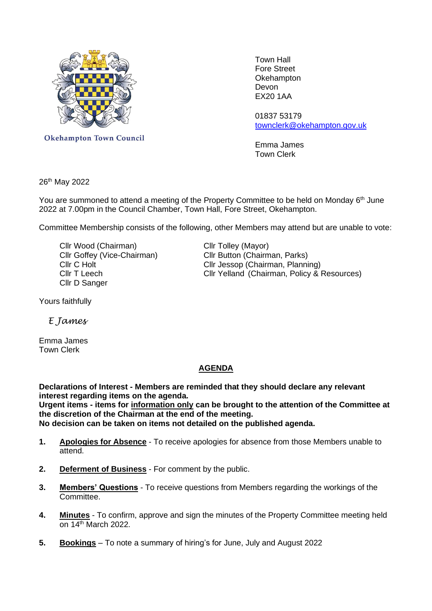

Town Hall Fore Street **Okehampton** EX20 1AA

 01837 53179 [townclerk@okehampton.gov.uk](mailto:townclerk@okehampton.gov.uk)

Okehampton Town Council<br>
Emma James Town Clerk

26th May 2022

You are summoned to attend a meeting of the Property Committee to be held on Monday 6<sup>th</sup> June 2022 at 7.00pm in the Council Chamber, Town Hall, Fore Street, Okehampton.

Committee Membership consists of the following, other Members may attend but are unable to vote:

Cllr Wood (Chairman) Cllr Tolley (Mayor) Cllr D Sanger

Cllr Goffey (Vice-Chairman) Cllr Button (Chairman, Parks) Cllr Jessop (Chairman, Planning) Cllr T Leech Cllr Yelland (Chairman, Policy & Resources)

Yours faithfully

 *E James*

Emma James Town Clerk

## **AGENDA**

**Declarations of Interest - Members are reminded that they should declare any relevant interest regarding items on the agenda.**

**Urgent items - items for information only can be brought to the attention of the Committee at the discretion of the Chairman at the end of the meeting.**

**No decision can be taken on items not detailed on the published agenda.**

- **1. Apologies for Absence** To receive apologies for absence from those Members unable to attend.
- **2. Deferment of Business** For comment by the public.
- **3. Members' Questions** To receive questions from Members regarding the workings of the Committee.
- **4. Minutes** To confirm, approve and sign the minutes of the Property Committee meeting held on  $14<sup>th</sup>$  March 2022.
- **5. Bookings** To note a summary of hiring's for June, July and August 2022